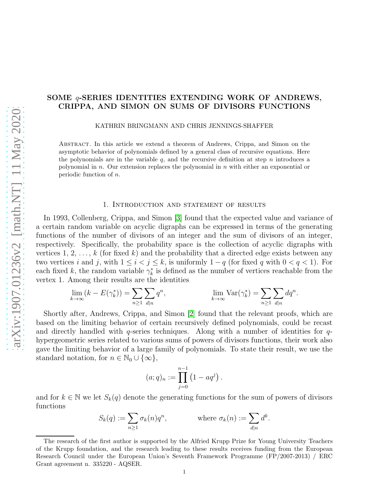# SOME q-SERIES IDENTITIES EXTENDING WORK OF ANDREWS, CRIPPA, AND SIMON ON SUMS OF DIVISORS FUNCTIONS

KATHRIN BRINGMANN AND CHRIS JENNINGS-SHAFFER

Abstract. In this article we extend a theorem of Andrews, Crippa, and Simon on the asymptotic behavior of polynomials defined by a general class of recursive equations. Here the polynomials are in the variable  $q$ , and the recursive definition at step  $n$  introduces a polynomial in  $n$ . Our extension replaces the polynomial in  $n$  with either an exponential or periodic function of n.

### 1. Introduction and statement of results

In 1993, Collenberg, Crippa, and Simon [\[3\]](#page-7-0) found that the expected value and variance of a certain random variable on acyclic digraphs can be expressed in terms of the generating functions of the number of divisors of an integer and the sum of divisors of an integer, respectively. Specifically, the probability space is the collection of acyclic digraphs with vertices 1, 2, ..., k (for fixed k) and the probability that a directed edge exists between any two vertices i and j, with  $1 \leq i < j \leq k$ , is uniformly  $1 - q$  (for fixed q with  $0 < q < 1$ ). For each fixed k, the random variable  $\gamma_k^*$  is defined as the number of vertices reachable from the vertex 1. Among their results are the identities

$$
\lim_{k \to \infty} (k - E(\gamma_k^*)) = \sum_{n \ge 1} \sum_{d|n} q^n, \qquad \lim_{k \to \infty} \text{Var}(\gamma_k^*) = \sum_{n \ge 1} \sum_{d|n} dq^n.
$$

Shortly after, Andrews, Crippa, and Simon [\[2\]](#page-7-1) found that the relevant proofs, which are based on the limiting behavior of certain recursively defined polynomials, could be recast and directly handled with  $q$ -series techniques. Along with a number of identities for  $q$ hypergeometric series related to various sums of powers of divisors functions, their work also gave the limiting behavior of a large family of polynomials. To state their result, we use the standard notation, for  $n \in \mathbb{N}_0 \cup \{\infty\},\$ 

$$
(a;q)_n := \prod_{j=0}^{n-1} (1 - aq^j)
$$

.

and for  $k \in \mathbb{N}$  we let  $S_k(q)$  denote the generating functions for the sum of powers of divisors functions

$$
S_k(q) := \sum_{n \ge 1} \sigma_k(n) q^n, \qquad \text{where } \sigma_k(n) := \sum_{d|n} d^k.
$$

The research of the first author is supported by the Alfried Krupp Prize for Young University Teachers of the Krupp foundation, and the research leading to these results receives funding from the European Research Council under the European Union's Seventh Framework Programme (FP/2007-2013) / ERC Grant agreement n. 335220 - AQSER.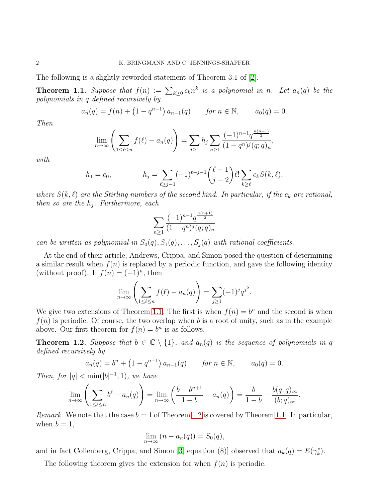The following is a slightly reworded statement of Theorem 3.1 of [\[2\]](#page-7-1).

<span id="page-1-0"></span>**Theorem 1.1.** Suppose that  $f(n) := \sum_{k\geq 0} c_k n^k$  is a polynomial in n. Let  $a_n(q)$  be the polynomials in q defined recursively by

$$
a_n(q) = f(n) + (1 - q^{n-1}) a_{n-1}(q) \quad \text{for } n \in \mathbb{N}, \quad a_0(q) = 0.
$$

Then

$$
\lim_{n \to \infty} \left( \sum_{1 \le \ell \le n} f(\ell) - a_n(q) \right) = \sum_{j \ge 1} h_j \sum_{n \ge 1} \frac{(-1)^{n-1} q^{\frac{n(n+1)}{2}}}{(1-q^n)^j (q;q)_n},
$$

with

$$
h_1 = c_0, \qquad h_j = \sum_{\ell \ge j-1} (-1)^{\ell-j-1} {\ell-1 \choose j-2} \ell! \sum_{k \ge \ell} c_k S(k, \ell),
$$

where  $S(k, \ell)$  are the Stirling numbers of the second kind. In particular, if the  $c_k$  are rational, then so are the  $h_j$ . Furthermore, each

$$
\sum_{n\geq 1}\frac{(-1)^{n-1}q^{\frac{n(n+1)}{2}}}{(1-q^n)^j(q;q)_n}
$$

can be written as polynomial in  $S_0(q), S_1(q), \ldots, S_j(q)$  with rational coefficients.

At the end of their article, Andrews, Crippa, and Simon posed the question of determining a similar result when  $f(n)$  is replaced by a periodic function, and gave the following identity (without proof). If  $f(n) = (-1)^n$ , then

$$
\lim_{n \to \infty} \left( \sum_{1 \leq \ell \leq n} f(\ell) - a_n(q) \right) = \sum_{j \geq 1} (-1)^j q^{j^2}.
$$

We give two extensions of Theorem [1.1.](#page-1-0) The first is when  $f(n) = b^n$  and the second is when  $f(n)$  is periodic. Of course, the two overlap when b is a root of unity, such as in the example above. Our first theorem for  $f(n) = b^n$  is as follows.

<span id="page-1-1"></span>**Theorem 1.2.** Suppose that  $b \in \mathbb{C} \setminus \{1\}$ , and  $a_n(q)$  is the sequence of polynomials in q defined recursively by

$$
a_n(q) = b^n + (1 - q^{n-1}) a_{n-1}(q)
$$
 for  $n \in \mathbb{N}$ ,  $a_0(q) = 0$ .

Then, for  $|q| < \min(|b|^{-1}, 1)$ , we have

$$
\lim_{n\to\infty}\left(\sum_{1\leq\ell\leq n}b^{\ell}-a_n(q)\right)=\lim_{n\to\infty}\left(\frac{b-b^{n+1}}{1-b}-a_n(q)\right)=\frac{b}{1-b}-\frac{b(q;q)_{\infty}}{(b;q)_{\infty}}.
$$

*Remark.* We note that the case  $b = 1$  of Theorem [1.2](#page-1-1) is covered by Theorem [1.1.](#page-1-0) In particular, when  $b = 1$ ,

$$
\lim_{n \to \infty} (n - a_n(q)) = S_0(q),
$$

and in fact Collenberg, Crippa, and Simon [\[3,](#page-7-0) equation (8)] observed that  $a_k(q) = E(\gamma_k^*)$ .

The following theorem gives the extension for when  $f(n)$  is periodic.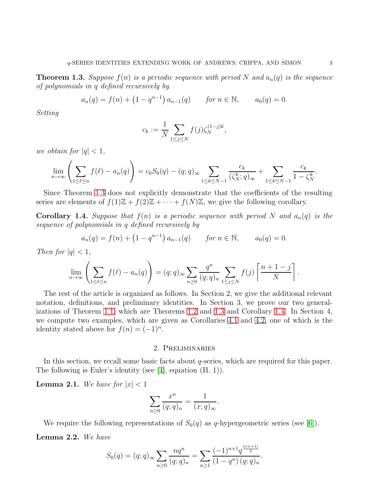<span id="page-2-0"></span>**Theorem 1.3.** Suppose  $f(n)$  is a periodic sequence with period N and  $a_n(q)$  is the sequence of polynomials in q defined recursively by

$$
a_n(q) = f(n) + (1 - q^{n-1}) a_{n-1}(q) \quad \text{for } n \in \mathbb{N}, \quad a_0(q) = 0.
$$

Setting

$$
c_k := \frac{1}{N} \sum_{1 \le j \le N} f(j) \zeta_N^{(1-j)k},
$$

we obtain for  $|q| < 1$ ,

$$
\lim_{n \to \infty} \left( \sum_{1 \leq \ell \leq n} f(\ell) - a_n(q) \right) = c_0 S_0(q) - (q; q)_{\infty} \sum_{1 \leq k \leq N-1} \frac{c_k}{(\zeta_N^k; q)_{\infty}} + \sum_{1 \leq k \leq N-1} \frac{c_k}{1 - \zeta_N^k}.
$$

Since Theorem [1.3](#page-2-0) does not explicitly demonstrate that the coefficients of the resulting series are elements of  $f(1)\mathbb{Z} + f(2)\mathbb{Z} + \cdots + f(N)\mathbb{Z}$ , we give the following corollary.

<span id="page-2-1"></span>**Corollary 1.4.** Suppose that  $f(n)$  is a periodic sequence with period N and  $a_n(q)$  is the sequence of polynomials in q defined recursively by

$$
a_n(q) = f(n) + (1 - q^{n-1}) a_{n-1}(q) \quad \text{for } n \in \mathbb{N}, \quad a_0(q) = 0.
$$

Then for  $|q| < 1$ ,

$$
\lim_{n\to\infty}\left(\sum_{1\leq\ell\leq n}f(\ell)-a_n(q)\right)=(q;q)_{\infty}\sum_{n\geq 0}\frac{q^n}{(q;q)_n}\sum_{1\leq j\leq N}f(j)\left\lceil\frac{n+1-j}{N}\right\rceil.
$$

The rest of the article is organized as follows. In Section 2, we give the additional relevant notation, definitions, and preliminary identities. In Section 3, we prove our two generalizations of Theorem [1.1,](#page-1-0) which are Theorems [1.2](#page-1-1) and [1.3](#page-2-0) and Corollary [1.4.](#page-2-1) In Section 4, we compute two examples, which are given as Corollaries [4.1](#page-7-2) and [4.2,](#page-7-3) one of which is the identity stated above for  $f(n) = (-1)^n$ .

#### 2. Preliminaries

In this section, we recall some basic facts about  $q$ -series, which are required for this paper. The following is Euler's identity (see [\[4\]](#page-7-4), equation (II. 1)).

<span id="page-2-3"></span>**Lemma 2.1.** We have for  $|x| < 1$ 

$$
\sum_{n\geq 0} \frac{x^n}{(q;q)_n} = \frac{1}{(x;q)_{\infty}}.
$$

<span id="page-2-2"></span>We require the following representations of  $S_0(q)$  as q-hypergeometric series (see [\[6\]](#page-7-5)). Lemma 2.2. We have

$$
S_0(q) = (q;q)_{\infty} \sum_{n \ge 0} \frac{nq^n}{(q;q)_n} = \sum_{n \ge 1} \frac{(-1)^{n+1} q^{\frac{n(n+1)}{2}}}{(1-q^n) (q;q)_n}.
$$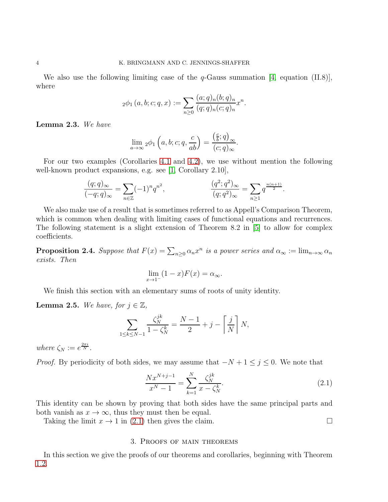We also use the following limiting case of the  $q$ -Gauss summation [\[4,](#page-7-4) equation (II.8)], where

$$
{}_2\phi_1(a,b;c;q,x) := \sum_{n\geq 0} \frac{(a;q)_n (b;q)_n}{(q;q)_n (c;q)_n} x^n.
$$

<span id="page-3-2"></span>Lemma 2.3. We have

$$
\lim_{a \to \infty} {}_2\phi_1 \left( a, b; c; q, \frac{c}{ab} \right) = \frac{\left( \frac{c}{b}; q \right)_{\infty}}{(c; q)_{\infty}}.
$$

For our two examples (Corollaries [4.1](#page-7-2) and [4.2\)](#page-7-3), we use without mention the following well-known product expansions, e.g. see [\[1,](#page-7-6) Corollary 2.10],

$$
\frac{(q;q)_{\infty}}{(-q;q)_{\infty}} = \sum_{n \in \mathbb{Z}} (-1)^n q^{n^2}, \qquad \frac{(q^2;q^2)_{\infty}}{(q;q^2)_{\infty}} = \sum_{n \ge 1} q^{\frac{n(n+1)}{2}}.
$$

We also make use of a result that is sometimes referred to as Appell's Comparison Theorem, which is common when dealing with limiting cases of functional equations and recurrences. The following statement is a slight extension of Theorem 8.2 in [\[5\]](#page-7-7) to allow for complex coefficients.

<span id="page-3-1"></span>**Proposition 2.4.** Suppose that  $F(x) = \sum_{n\geq 0} \alpha_n x^n$  is a power series and  $\alpha_\infty := \lim_{n\to\infty} \alpha_n$ exists. Then

$$
\lim_{x \to 1^-} (1-x)F(x) = \alpha_{\infty}.
$$

We finish this section with an elementary sums of roots of unity identity.

<span id="page-3-3"></span>**Lemma 2.5.** We have, for  $j \in \mathbb{Z}$ ,

$$
\sum_{1 \le k \le N-1} \frac{\zeta_N^{jk}}{1 - \zeta_N^k} = \frac{N-1}{2} + j - \left\lceil \frac{j}{N} \right\rceil N,
$$

where  $\zeta_N := e^{\frac{2\pi i}{N}}$ .

*Proof.* By periodicity of both sides, we may assume that  $-N+1 \leq j \leq 0$ . We note that

<span id="page-3-0"></span>
$$
\frac{Nx^{N+j-1}}{x^N-1} = \sum_{k=1}^N \frac{\zeta_N^{jk}}{x - \zeta_N^k}.
$$
\n(2.1)

This identity can be shown by proving that both sides have the same principal parts and both vanish as  $x \to \infty$ , thus they must then be equal.

Taking the limit  $x \to 1$  in [\(2.1\)](#page-3-0) then gives the claim.

#### 3. Proofs of main theorems

In this section we give the proofs of our theorems and corollaries, beginning with Theorem [1.2.](#page-1-1)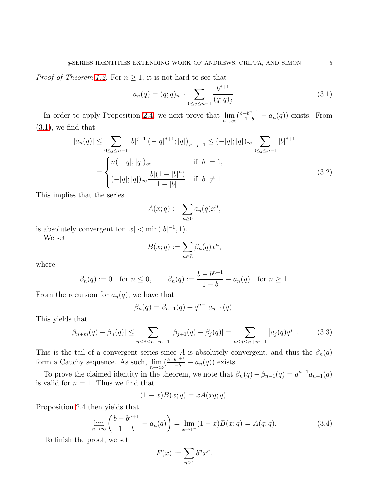*Proof of Theorem [1.2.](#page-1-1)* For  $n \geq 1$ , it is not hard to see that

<span id="page-4-0"></span>
$$
a_n(q) = (q;q)_{n-1} \sum_{0 \le j \le n-1} \frac{b^{j+1}}{(q;q)_j}.
$$
\n(3.1)

In order to apply Proposition [2.4,](#page-3-1) we next prove that  $\lim_{n\to\infty} (\frac{b-b^{n+1}}{1-b} - a_n(q))$  exists. From  $(3.1)$ , we find that

$$
|a_n(q)| \leq \sum_{0 \leq j \leq n-1} |b|^{j+1} \left(-|q|^{j+1}; |q|\right)_{n-j-1} \leq (-|q|; |q|)_{\infty} \sum_{0 \leq j \leq n-1} |b|^{j+1}
$$

$$
= \begin{cases} n(-|q|; |q|)_{\infty} & \text{if } |b| = 1, \\ (-|q|; |q|)_{\infty} \frac{|b|(1-|b|^n)}{1-|b|} & \text{if } |b| \neq 1. \end{cases} (3.2)
$$

This implies that the series

<span id="page-4-2"></span>
$$
A(x;q) := \sum_{n\geq 0} a_n(q)x^n,
$$

is absolutely convergent for  $|x| < \min(|b|^{-1}, 1)$ .

We set

$$
B(x;q) := \sum_{n \in \mathbb{Z}} \beta_n(q) x^n,
$$

where

$$
\beta_n(q) := 0
$$
 for  $n \le 0$ ,  $\beta_n(q) := \frac{b - b^{n+1}}{1 - b} - a_n(q)$  for  $n \ge 1$ .

From the recursion for  $a_n(q)$ , we have that

<span id="page-4-3"></span>
$$
\beta_n(q) = \beta_{n-1}(q) + q^{n-1}a_{n-1}(q).
$$

This yields that

$$
|\beta_{n+m}(q) - \beta_n(q)| \le \sum_{n \le j \le n+m-1} |\beta_{j+1}(q) - \beta_j(q)| = \sum_{n \le j \le n+m-1} |a_j(q)q^j|.
$$
 (3.3)

This is the tail of a convergent series since A is absolutely convergent, and thus the  $\beta_n(q)$ form a Cauchy sequence. As such,  $\lim_{n\to\infty} \left( \frac{b-b^{n+1}}{1-b} - a_n(q) \right)$  exists.

To prove the claimed identity in the theorem, we note that  $\beta_n(q) - \beta_{n-1}(q) = q^{n-1} a_{n-1}(q)$ is valid for  $n = 1$ . Thus we find that

$$
(1-x)B(x;q) = xA(xq;q).
$$

Proposition [2.4](#page-3-1) then yields that

$$
\lim_{n \to \infty} \left( \frac{b - b^{n+1}}{1 - b} - a_n(q) \right) = \lim_{x \to 1^-} (1 - x) B(x; q) = A(q; q). \tag{3.4}
$$

To finish the proof, we set

<span id="page-4-1"></span>
$$
F(x) := \sum_{n \ge 1} b^n x^n.
$$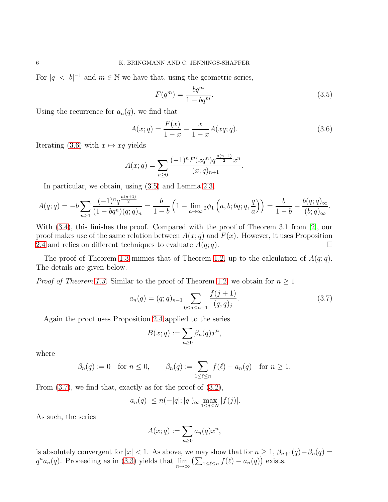For  $|q| < |b|^{-1}$  and  $m \in \mathbb{N}$  we have that, using the geometric series,

<span id="page-5-1"></span><span id="page-5-0"></span>
$$
F(q^m) = \frac{bq^m}{1 - bq^m}.\tag{3.5}
$$

Using the recurrence for  $a_n(q)$ , we find that

$$
A(x;q) = \frac{F(x)}{1-x} - \frac{x}{1-x}A(xq;q).
$$
\n(3.6)

Iterating [\(3.6\)](#page-5-0) with  $x \mapsto xq$  yields

$$
A(x;q) = \sum_{n\geq 0} \frac{(-1)^n F(xq^n) q^{\frac{n(n-1)}{2}} x^n}{(x;q)_{n+1}}.
$$

In particular, we obtain, using [\(3.5\)](#page-5-1) and Lemma [2.3,](#page-3-2)  $n \rightarrow 1$ 

$$
A(q;q) = -b \sum_{n \ge 1} \frac{(-1)^n q^{\frac{n(n+1)}{2}}}{(1 - bq^n)(q;q)_n} = \frac{b}{1 - b} \left(1 - \lim_{a \to \infty} {}_2\phi_1\left(a, b; bq; q, \frac{q}{a}\right)\right) = \frac{b}{1 - b} - \frac{b(q;q)_{\infty}}{(b;q)_{\infty}}.
$$

With [\(3.4\)](#page-4-1), this finishes the proof. Compared with the proof of Theorem 3.1 from [\[2\]](#page-7-1), our proof makes use of the same relation between  $A(x; q)$  and  $F(x)$ . However, it uses Proposition [2.4](#page-3-1) and relies on different techniques to evaluate  $A(q; q)$ .

The proof of Theorem [1.3](#page-2-0) mimics that of Theorem [1.2,](#page-1-1) up to the calculation of  $A(q; q)$ . The details are given below.

*Proof of Theorem [1.3.](#page-2-0)* Similar to the proof of Theorem [1.2,](#page-1-1) we obtain for  $n \geq 1$ 

$$
a_n(q) = (q;q)_{n-1} \sum_{0 \le j \le n-1} \frac{f(j+1)}{(q;q)_j}.
$$
\n(3.7)

Again the proof uses Proposition [2.4](#page-3-1) applied to the series

<span id="page-5-2"></span>
$$
B(x;q) := \sum_{n\geq 0} \beta_n(q) x^n,
$$

where

$$
\beta_n(q) := 0 \quad \text{for } n \le 0, \qquad \beta_n(q) := \sum_{1 \le \ell \le n} f(\ell) - a_n(q) \quad \text{for } n \ge 1.
$$

From  $(3.7)$ , we find that, exactly as for the proof of  $(3.2)$ ,

$$
|a_n(q)| \le n(-|q|; |q|)_{\infty} \max_{1 \le j \le N} |f(j)|.
$$

As such, the series

$$
A(x;q) := \sum_{n\geq 0} a_n(q)x^n,
$$

is absolutely convergent for  $|x| < 1$ . As above, we may show that for  $n \geq 1$ ,  $\beta_{n+1}(q) - \beta_n(q) =$  $q^n a_n(q)$ . Proceeding as in [\(3.3\)](#page-4-3) yields that  $\lim_{n\to\infty} (\sum_{1\leq\ell\leq n} f(\ell) - a_n(q))$  exists.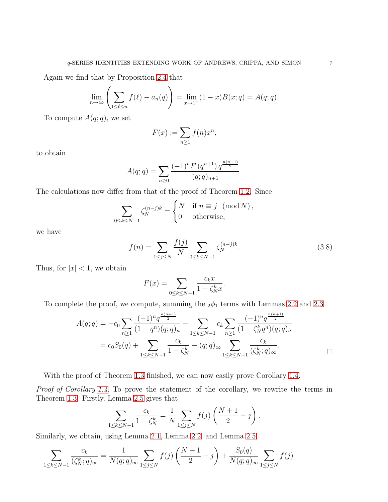Again we find that by Proposition [2.4](#page-3-1) that

$$
\lim_{n \to \infty} \left( \sum_{1 \le \ell \le n} f(\ell) - a_n(q) \right) = \lim_{x \to 1^-} (1 - x) B(x; q) = A(q; q).
$$

To compute  $A(q; q)$ , we set

$$
F(x) := \sum_{n \ge 1} f(n)x^n,
$$

to obtain

$$
A(q;q) = \sum_{n\geq 0} \frac{(-1)^n F(q^{n+1}) q^{\frac{n(n+1)}{2}}}{(q;q)_{n+1}}.
$$

The calculations now differ from that of the proof of Theorem [1.2.](#page-1-1) Since

$$
\sum_{0 \le k \le N-1} \zeta_N^{(n-j)k} = \begin{cases} N & \text{if } n \equiv j \pmod{N}, \\ 0 & \text{otherwise}, \end{cases}
$$

we have

$$
f(n) = \sum_{1 \le j \le N} \frac{f(j)}{N} \sum_{0 \le k \le N-1} \zeta_N^{(n-j)k}.
$$
 (3.8)

Thus, for  $|x| < 1$ , we obtain

$$
F(x) = \sum_{0 \le k \le N-1} \frac{c_k x}{1 - \zeta_N^k x}.
$$

To complete the proof, we compute, summing the  $_2\phi_1$  terms with Lemmas [2.2](#page-2-2) and [2.3](#page-3-2)

$$
A(q;q) = -c_0 \sum_{n\geq 1} \frac{(-1)^n q^{\frac{n(n+1)}{2}}}{(1-q^n)(q;q)_n} - \sum_{1\leq k\leq N-1} c_k \sum_{n\geq 1} \frac{(-1)^n q^{\frac{n(n+1)}{2}}}{(1-\zeta_N^k q^n)(q;q)_n}
$$
  
=  $c_0 S_0(q) + \sum_{1\leq k\leq N-1} \frac{c_k}{1-\zeta_N^k} - (q;q)_{\infty} \sum_{1\leq k\leq N-1} \frac{c_k}{(\zeta_N^k;q)_{\infty}}.$ 

With the proof of Theorem [1.3](#page-2-0) finished, we can now easily prove Corollary [1.4.](#page-2-1)

*Proof of Corollary [1.4.](#page-2-1)* To prove the statement of the corollary, we rewrite the terms in Theorem [1.3.](#page-2-0) Firstly, Lemma [2.5](#page-3-3) gives that

$$
\sum_{0 \le k \le N-1} \frac{c_k}{1 - \zeta_N^k} = \frac{1}{N} \sum_{1 \le j \le N} f(j) \left( \frac{N+1}{2} - j \right).
$$

Similarly, we obtain, using Lemma [2.1,](#page-2-3) Lemma [2.2,](#page-2-2) and Lemma [2.5,](#page-3-3)

 $1$ 

$$
\sum_{1 \le k \le N-1} \frac{c_k}{(\zeta_N^k; q)_{\infty}} = \frac{1}{N(q; q)_{\infty}} \sum_{1 \le j \le N} f(j) \left( \frac{N+1}{2} - j \right) + \frac{S_0(q)}{N(q; q)_{\infty}} \sum_{1 \le j \le N} f(j)
$$